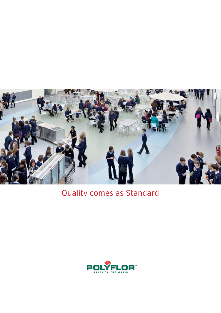

## Quality comes as Standard

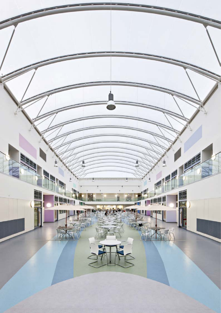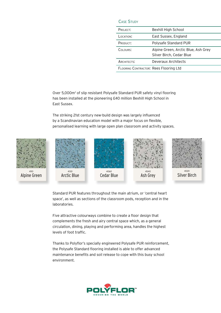| <b>CASE STUDY</b>                             |                                                                 |
|-----------------------------------------------|-----------------------------------------------------------------|
| PROJECT:                                      | Bexhill High School                                             |
| CATION:                                       | East Sussex, England                                            |
| PRODUCT:                                      | Polysafe Standard PUR                                           |
| COLOURS:                                      | Alpine Green, Arctic Blue, Ash Grey<br>Silver Birch, Cedar Blue |
| ARCHITECTS:                                   | Deveraux Architects                                             |
| <b>FLOORING CONTRACTOR: Rees Flooring Ltd</b> |                                                                 |

Over 5,000m<sup>2</sup> of slip resistant Polysafe Standard PUR safety vinyl flooring has been installed at the pioneering £40 million Bexhill High School in East Sussex.

The striking 21st century new-build design was largely influenced by a Scandinavian education model with a major focus on flexible, personalised learning with large open plan classroom and activity spaces.



Standard PUR features throughout the main atrium, or 'central heart space', as well as sections of the classroom pods, reception and in the laboratories.

Five attractive colourways combine to create a floor design that complements the fresh and airy central space which, as a general circulation, dining, playing and performing area, handles the highest levels of foot traffic.

Thanks to Polyflor's specially engineered Polysafe PUR reinforcement, the Polysafe Standard flooring installed is able to offer advanced maintenance benefits and soil release to cope with this busy school environment.

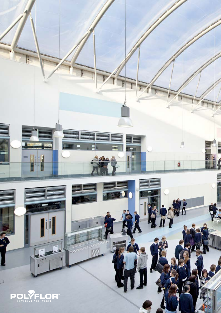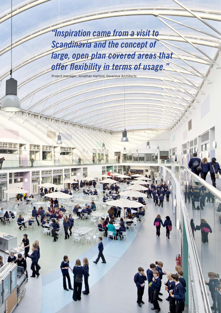*"Inspiration came from a visit to Scandinavia and the concept of large, open plan covered areas that offer flexibility in terms of usage.* 

Project manager, Jonathan Harford, Devereux Architects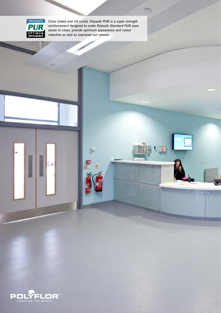

*Cross linked and UV cured, Polysafe PUR is a super strength reinforcement designed to make Polysafe Standard PUR even easier to clean, provide optimum appearance and colour retention as well as improved soil release.*

 $\frac{1}{2}$ 

 $\mathbf{u}_1$ 

L)

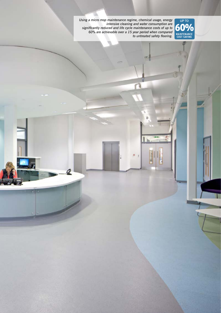*Using a micro mop maintenance regime, chemical usage, energy intensive cleaning and water consumption are signifIcantly reduced and life cycle maintenance costs of up to 60% are achievable over a 15 year period when compared to untreated safety flooring.* 

Preston

a.

â

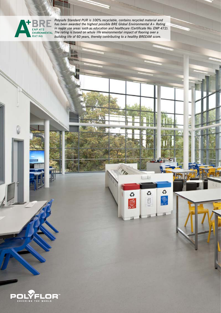

*Polysafe Standard PUR is 100% recyclable, contains recycled material and has been awarded the highest possible BRE Global Environmental A+ Rating in major use areas such as education and healthcare (Certificate No: ENP 472). The rating is based on whole life environmental impact of flooring over a building life of 60 years, thereby contributing to a healthy BREEAM score.*

 $r_{\ell m}$ 

Ô

 $-1 -$ 

۵

 $\frac{1}{n}$ 

g

**LEYA** 

 $\ddot{\omega}$ 

 $\frac{1}{2}$ 

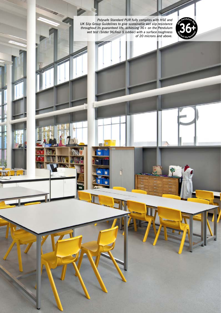*Polysafe Standard PUR fully complies with HSE and UK Slip Group Guidelines to give sustainable wet slip resistance throughout its guaranteed life, achieving 36+ on the Pendulum wet test (Slider 96/Four S rubber) with a surface roughness of 20 microns and above.*

ā., Л

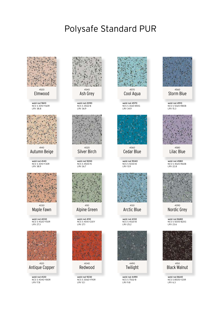## Polysafe Standard PUR







4020 Silver Birch



4110 Alpine Green



4040 Redwood

NCS S 4040-Y80R NCS S 3060-Y90R NCS S 7502-B NCS S 8505-Y20R LRV 17.8 LRV 12.1 LRV 9.8 LRV 6.3



4570 Cool Aqua



4060 Cedar Blue



4130 Arctic Blue



4490 Twilight



Storm Blue



Lilac Blue



4090 Nordic Grey



Black Walnut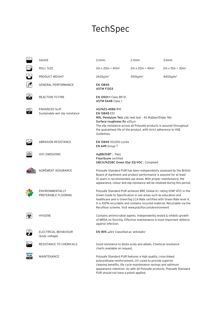## TechSpec

| $\checkmark$ | GAUGE                                                   | 2.0 <sub>mm</sub>                                                                                                                                                                                                                                                                                                                                     | 2.5 <sub>mm</sub>       | 3.5 <sub>mm</sub>       |  |
|--------------|---------------------------------------------------------|-------------------------------------------------------------------------------------------------------------------------------------------------------------------------------------------------------------------------------------------------------------------------------------------------------------------------------------------------------|-------------------------|-------------------------|--|
|              | ROLL SIZE                                               | $2m \times 20m = 40m^2$                                                                                                                                                                                                                                                                                                                               | $2m \times 20m = 40m^2$ | $2m \times 15m = 30m^2$ |  |
| $\mathbb{P}$ | PRODUCT WEIGHT                                          | 2430g/m <sup>2</sup>                                                                                                                                                                                                                                                                                                                                  | 3100g/m <sup>2</sup>    | 4400g/m <sup>2</sup>    |  |
|              | <b>GENERAL PERFORMANCE</b>                              | EN 13845<br><b>ASTM F1303</b>                                                                                                                                                                                                                                                                                                                         |                         |                         |  |
|              | <b>REACTION TO FIRE</b>                                 | <b>EN 13501-1 Class BfI-S1</b><br><b>ASTM E648 Class 1</b>                                                                                                                                                                                                                                                                                            |                         |                         |  |
|              | <b>ENHANCED SLIP</b><br>Sustainable wet slip resistance | AS/NZS 4586 R10<br><b>EN 13845 ESf</b><br>RRL Pendulum Test $\geq$ 36 (wet test - 4S Rubber/Slider 96)<br>Surface roughness Rz ≥20µm<br>The slip resistance across all Polysafe products is assured throughout<br>the guaranteed life of the product, with strict adherence to HSE<br>Guidelines.                                                     |                         |                         |  |
|              | <b>ABRASION RESISTANCE</b>                              | EN 13845 50,000 cycles<br>EN 649 Group T                                                                                                                                                                                                                                                                                                              |                         |                         |  |
| 33331        | <b>VOC EMISSIONS</b>                                    | AgBB/DiBT: Pass<br><b>FloorScore</b> certified<br>GBCA/NZGBC Green Star EQ-VOC : Compliant                                                                                                                                                                                                                                                            |                         |                         |  |
|              | AGRÉMENT ASSURANCE                                      | Polysafe Standard PUR has been independently assessed by the British<br>Board of Agrément and product performance is assured for at least<br>10 years in recommended use areas. With proper maintenance, the<br>appearance, colour and slip resistance will be retained during this period.                                                           |                         |                         |  |
|              | ENVIRONMENTALLY<br>PREFERABLE FLOORING                  | Polysafe Standard PUR achieves BRE Global A+ rating (ENP 472) in the<br>Green Guide to Specification in use areas such as education and<br>healthcare and is GreenTag LCA Rate certified with Green Rate level A.<br>It is 100% recyclable and contains recycled material. Recyclable via the<br>Recofloor scheme. Visit www.polyflor.com/environment |                         |                         |  |
|              | <b>HYGIENE</b>                                          | Contains antimicrobial agents. Independently tested & inhibits growth<br>of MRSA on flooring. Effective maintenance is most important defence<br>against infection.                                                                                                                                                                                   |                         |                         |  |
|              | ELECTRICAL BEHAVIOUR<br>(body voltage)                  | EN 1815 ≤2 $kV$ Classified as 'antistatic'                                                                                                                                                                                                                                                                                                            |                         |                         |  |
| 89           | RESISTANCE TO CHEMICALS                                 | Good resistance to dilute acids and alkalis. Chemical resistance<br>charts available on request.                                                                                                                                                                                                                                                      |                         |                         |  |
| PUR          | <b>MAINTENANCE</b>                                      | Polysafe Standard PUR features a high quality, cross-linked<br>polyurethane reinforcement, UV cured to provide superior<br>cleaning benefits, life cycle maintenance savings and optimum<br>appearance retention. As with all Polysafe products, Polysafe Standard<br>PUR should not have a polish applied.                                           |                         |                         |  |